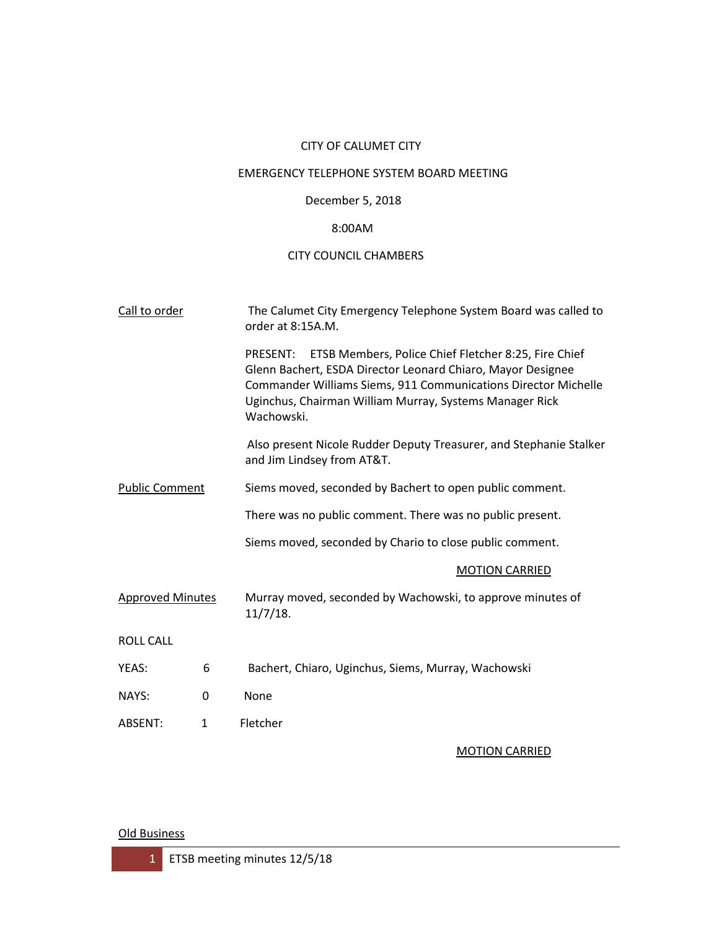## CITY OF CALUMET CITY

## EMERGENCY TELEPHONE SYSTEM BOARD MEETING

# December 5, 2018

# 8:00AM

# CITY COUNCIL CHAMBERS

| Call to order           |              | The Calumet City Emergency Telephone System Board was called to<br>order at 8:15A.M.                                                                                                                                                                                           |
|-------------------------|--------------|--------------------------------------------------------------------------------------------------------------------------------------------------------------------------------------------------------------------------------------------------------------------------------|
|                         |              | PRESENT: ETSB Members, Police Chief Fletcher 8:25, Fire Chief<br>Glenn Bachert, ESDA Director Leonard Chiaro, Mayor Designee<br><b>Commander Williams Siems, 911 Communications Director Michelle</b><br>Uginchus, Chairman William Murray, Systems Manager Rick<br>Wachowski. |
|                         |              | Also present Nicole Rudder Deputy Treasurer, and Stephanie Stalker<br>and Jim Lindsey from AT&T.                                                                                                                                                                               |
| <b>Public Comment</b>   |              | Siems moved, seconded by Bachert to open public comment.                                                                                                                                                                                                                       |
|                         |              | There was no public comment. There was no public present.                                                                                                                                                                                                                      |
|                         |              | Siems moved, seconded by Chario to close public comment.                                                                                                                                                                                                                       |
|                         |              | <b>MOTION CARRIED</b>                                                                                                                                                                                                                                                          |
| <b>Approved Minutes</b> |              | Murray moved, seconded by Wachowski, to approve minutes of<br>11/7/18.                                                                                                                                                                                                         |
| <b>ROLL CALL</b>        |              |                                                                                                                                                                                                                                                                                |
| YEAS:                   | 6            | Bachert, Chiaro, Uginchus, Siems, Murray, Wachowski                                                                                                                                                                                                                            |
| NAYS:                   | 0            | None                                                                                                                                                                                                                                                                           |
| ABSENT:                 | $\mathbf{1}$ | Fletcher                                                                                                                                                                                                                                                                       |

# MOTION CARRIED

## Old Business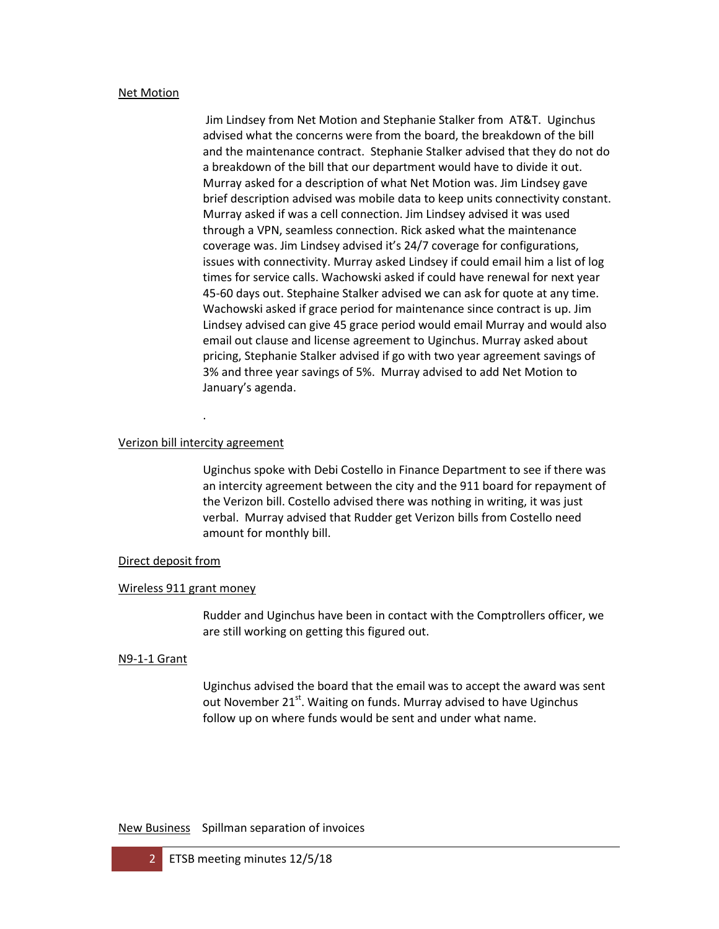### Net Motion

Jim Lindsey from Net Motion and Stephanie Stalker from AT&T. Uginchus advised what the concerns were from the board, the breakdown of the bill and the maintenance contract. Stephanie Stalker advised that they do not do a breakdown of the bill that our department would have to divide it out. Murray asked for a description of what Net Motion was. Jim Lindsey gave brief description advised was mobile data to keep units connectivity constant. Murray asked if was a cell connection. Jim Lindsey advised it was used through a VPN, seamless connection. Rick asked what the maintenance coverage was. Jim Lindsey advised it's 24/7 coverage for configurations, issues with connectivity. Murray asked Lindsey if could email him a list of log times for service calls. Wachowski asked if could have renewal for next year 45-60 days out. Stephaine Stalker advised we can ask for quote at any time. Wachowski asked if grace period for maintenance since contract is up. Jim Lindsey advised can give 45 grace period would email Murray and would also email out clause and license agreement to Uginchus. Murray asked about pricing, Stephanie Stalker advised if go with two year agreement savings of 3% and three year savings of 5%. Murray advised to add Net Motion to January's agenda.

# Verizon bill intercity agreement

.

Uginchus spoke with Debi Costello in Finance Department to see if there was an intercity agreement between the city and the 911 board for repayment of the Verizon bill. Costello advised there was nothing in writing, it was just verbal. Murray advised that Rudder get Verizon bills from Costello need amount for monthly bill.

### Direct deposit from

### Wireless 911 grant money

Rudder and Uginchus have been in contact with the Comptrollers officer, we are still working on getting this figured out.

### N9-1-1 Grant

 Uginchus advised the board that the email was to accept the award was sent out November  $21^{st}$ . Waiting on funds. Murray advised to have Uginchus follow up on where funds would be sent and under what name.

New Business Spillman separation of invoices